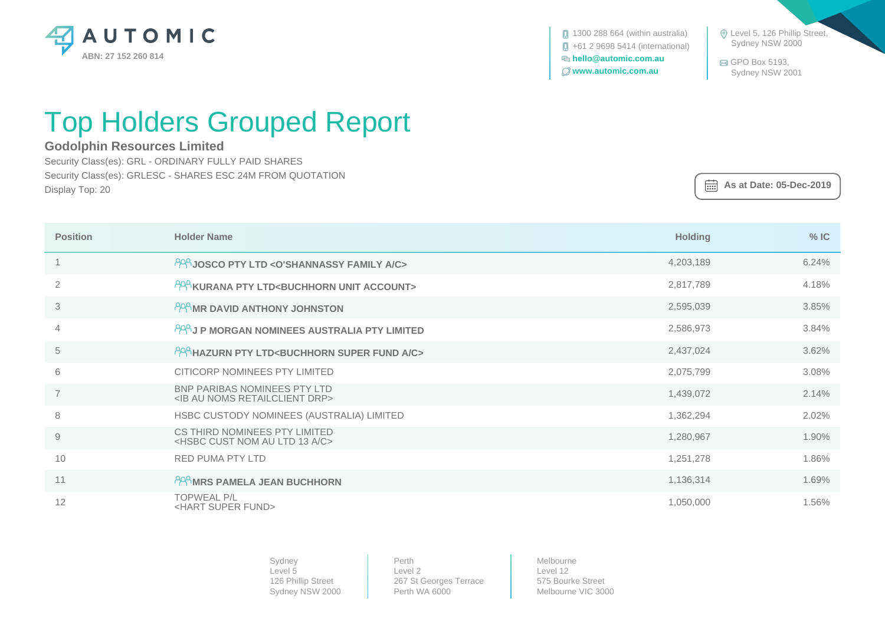

 $\Box$  1300 288 664 (within australia) +61 2 9698 5414 (international)  **hello@automic.com.au www.automic.com.au**

 Level 5, 126 Phillip Street, Sydney NSW 2000

 GPO Box 5193, Sydney NSW 2001

## Top Holders Grouped Report

## **Godolphin Resources Limited**

Security Class(es): GRL - ORDINARY FULLY PAID SHARES Security Class(es): GRLESC - SHARES ESC 24M FROM QUOTATION Display Top: 20

 **As at Date: 05-Dec-2019**

| <b>Position</b> | <b>Holder Name</b>                                                                         | <b>Holding</b> | $%$ IC |
|-----------------|--------------------------------------------------------------------------------------------|----------------|--------|
|                 | PPP JOSCO PTY LTD < O'SHANNASSY FAMILY A/C>                                                | 4,203,189      | 6.24%  |
| 2               | PPP KURANA PTY LTD <buchhorn account="" unit=""></buchhorn>                                | 2,817,789      | 4.18%  |
| 3               | PRAMR DAVID ANTHONY JOHNSTON                                                               | 2,595,039      | 3.85%  |
| $\overline{4}$  | PPP J P MORGAN NOMINEES AUSTRALIA PTY LIMITED                                              | 2,586,973      | 3.84%  |
| 5               | PPP HAZURN PTY LTD <buchhorn a="" c="" fund="" super=""></buchhorn>                        | 2,437,024      | 3.62%  |
| 6               | CITICORP NOMINEES PTY LIMITED                                                              | 2,075,799      | 3.08%  |
| $\overline{7}$  | <b>BNP PARIBAS NOMINEES PTY LTD</b><br><ib au="" drp="" noms="" retailclient=""></ib>      | 1,439,072      | 2.14%  |
| 8               | HSBC CUSTODY NOMINEES (AUSTRALIA) LIMITED                                                  | 1,362,294      | 2.02%  |
| $\Theta$        | CS THIRD NOMINEES PTY LIMITED<br><hsbc 13="" a="" au="" c="" cust="" ltd="" nom=""></hsbc> | 1,280,967      | 1.90%  |
| 10              | <b>RED PUMA PTY LTD</b>                                                                    | 1,251,278      | 1.86%  |
| 11              | PPP MRS PAMELA JEAN BUCHHORN                                                               | 1,136,314      | 1.69%  |
| 12              | <b>TOPWEAL P/L</b><br><hart fund="" super=""></hart>                                       | 1,050,000      | 1.56%  |

Sydney Level 5 126 Phillip Street Sydney NSW 2000 Perth Level 2 267 St Georges Terrace Perth WA 6000

Melbourne Level 12 575 Bourke Street Melbourne VIC 3000